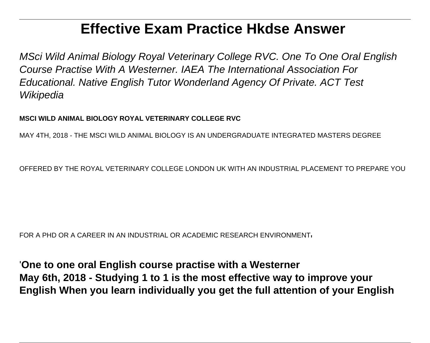# **Effective Exam Practice Hkdse Answer**

MSci Wild Animal Biology Royal Veterinary College RVC. One To One Oral English Course Practise With A Westerner. IAEA The International Association For Educational. Native English Tutor Wonderland Agency Of Private. ACT Test **Wikipedia** 

#### **MSCI WILD ANIMAL BIOLOGY ROYAL VETERINARY COLLEGE RVC**

MAY 4TH, 2018 - THE MSCI WILD ANIMAL BIOLOGY IS AN UNDERGRADUATE INTEGRATED MASTERS DEGREE

OFFERED BY THE ROYAL VETERINARY COLLEGE LONDON UK WITH AN INDUSTRIAL PLACEMENT TO PREPARE YOU

FOR A PHD OR A CAREER IN AN INDUSTRIAL OR ACADEMIC RESEARCH ENVIRONMENT'

'**One to one oral English course practise with a Westerner May 6th, 2018 - Studying 1 to 1 is the most effective way to improve your English When you learn individually you get the full attention of your English**